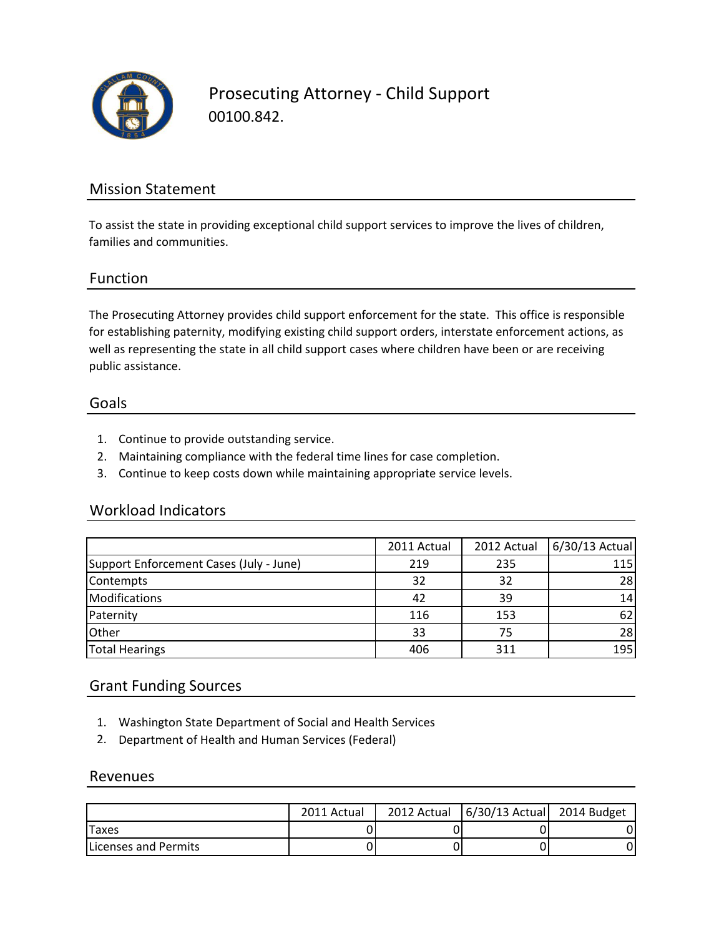

Prosecuting Attorney - Child Support 00100.842.

## Mission Statement

To assist the state in providing exceptional child support services to improve the lives of children, families and communities.

### Function

The Prosecuting Attorney provides child support enforcement for the state. This office is responsible for establishing paternity, modifying existing child support orders, interstate enforcement actions, as well as representing the state in all child support cases where children have been or are receiving public assistance.

#### Goals

- 1. Continue to provide outstanding service.
- 2. Maintaining compliance with the federal time lines for case completion.
- 3. Continue to keep costs down while maintaining appropriate service levels.

#### Workload Indicators

|                                         | 2011 Actual | 2012 Actual | 6/30/13 Actual |
|-----------------------------------------|-------------|-------------|----------------|
| Support Enforcement Cases (July - June) | 219         | 235         | 115            |
| Contempts                               | 32          | 32          | 28             |
| <b>Modifications</b>                    | 42          | 39          | 14             |
| Paternity                               | 116         | 153         | 62             |
| Other                                   | 33          | 75          | 28             |
| <b>Total Hearings</b>                   | 406         | 311         | 195            |

### Grant Funding Sources

- 1. Washington State Department of Social and Health Services
- 2. Department of Health and Human Services (Federal)

#### Revenues

|                              | 2011 Actual | 2012 Actual   6/30/13 Actual   2014 Budget |  |
|------------------------------|-------------|--------------------------------------------|--|
| Taxes                        |             |                                            |  |
| <b>ILicenses and Permits</b> |             |                                            |  |